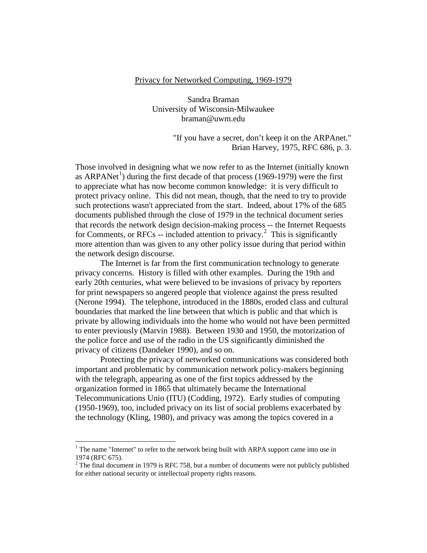### Privacy for Networked Computing, 1969-1979

Sandra Braman University of Wisconsin-Milwaukee braman@uwm.edu

> "If you have a secret, don't keep it on the ARPAnet." Brian Harvey, 1975, RFC 686, p. 3.

Those involved in designing what we now refer to as the Internet (initially known as  $ARPANet<sup>1</sup>$  $ARPANet<sup>1</sup>$  $ARPANet<sup>1</sup>$ ) during the first decade of that process (1969-1979) were the first to appreciate what has now become common knowledge: it is very difficult to protect privacy online. This did not mean, though, that the need to try to provide such protections wasn't appreciated from the start. Indeed, about 17% of the 685 documents published through the close of 1979 in the technical document series that records the network design decision-making process -- the Internet Requests for Comments, or RFCs -- included attention to privacy.<sup>[2](#page-0-1)</sup> This is significantly more attention than was given to any other policy issue during that period within the network design discourse.

The Internet is far from the first communication technology to generate privacy concerns. History is filled with other examples. During the 19th and early 20th centuries, what were believed to be invasions of privacy by reporters for print newspapers so angered people that violence against the press resulted (Nerone 1994). The telephone, introduced in the 1880s, eroded class and cultural boundaries that marked the line between that which is public and that which is private by allowing individuals into the home who would not have been permitted to enter previously (Marvin 1988). Between 1930 and 1950, the motorization of the police force and use of the radio in the US significantly diminished the privacy of citizens (Dandeker 1990), and so on.

Protecting the privacy of networked communications was considered both important and problematic by communication network policy-makers beginning with the telegraph, appearing as one of the first topics addressed by the organization formed in 1865 that ultimately became the International Telecommunications Unio (ITU) (Codding, 1972). Early studies of computing (1950-1969), too, included privacy on its list of social problems exacerbated by the technology (Kling, 1980), and privacy was among the topics covered in a

<span id="page-0-0"></span> $<sup>1</sup>$  The name "Internet" to refer to the network being built with ARPA support came into use in</sup> 1974 (RFC 675).

<span id="page-0-1"></span><sup>&</sup>lt;sup>2</sup> The final document in 1979 is RFC 758, but a number of documents were not publicly published for either national security or intellectual property rights reasons.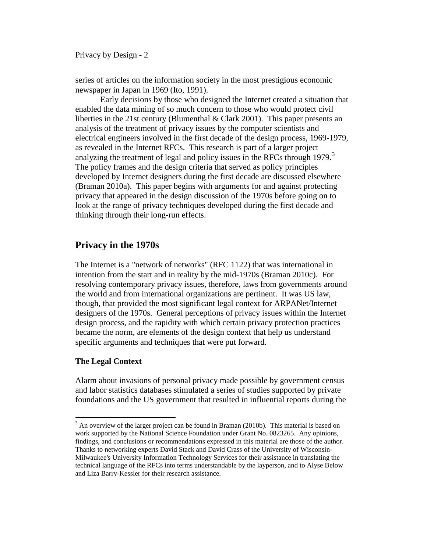series of articles on the information society in the most prestigious economic newspaper in Japan in 1969 (Ito, 1991).

Early decisions by those who designed the Internet created a situation that enabled the data mining of so much concern to those who would protect civil liberties in the 21st century (Blumenthal & Clark 2001). This paper presents an analysis of the treatment of privacy issues by the computer scientists and electrical engineers involved in the first decade of the design process, 1969-1979, as revealed in the Internet RFCs. This research is part of a larger project analyzing the treatment of legal and policy issues in the RFCs through 1979.<sup>[3](#page-1-0)</sup> The policy frames and the design criteria that served as policy principles developed by Internet designers during the first decade are discussed elsewhere (Braman 2010a). This paper begins with arguments for and against protecting privacy that appeared in the design discussion of the 1970s before going on to look at the range of privacy techniques developed during the first decade and thinking through their long-run effects.

# **Privacy in the 1970s**

The Internet is a "network of networks" (RFC 1122) that was international in intention from the start and in reality by the mid-1970s (Braman 2010c). For resolving contemporary privacy issues, therefore, laws from governments around the world and from international organizations are pertinent. It was US law, though, that provided the most significant legal context for ARPANet/Internet designers of the 1970s. General perceptions of privacy issues within the Internet design process, and the rapidity with which certain privacy protection practices became the norm, are elements of the design context that help us understand specific arguments and techniques that were put forward.

## **The Legal Context**

Alarm about invasions of personal privacy made possible by government census and labor statistics databases stimulated a series of studies supported by private foundations and the US government that resulted in influential reports during the

<span id="page-1-0"></span> $3$  An overview of the larger project can be found in Braman (2010b). This material is based on work supported by the National Science Foundation under Grant No. 0823265. Any opinions, findings, and conclusions or recommendations expressed in this material are those of the author. Thanks to networking experts David Stack and David Crass of the University of Wisconsin-Milwaukee's University Information Technology Services for their assistance in translating the technical language of the RFCs into terms understandable by the layperson, and to Alyse Below and Liza Barry-Kessler for their research assistance.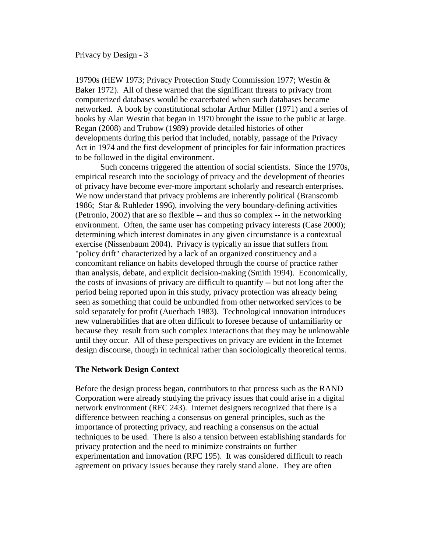19790s (HEW 1973; Privacy Protection Study Commission 1977; Westin & Baker 1972). All of these warned that the significant threats to privacy from computerized databases would be exacerbated when such databases became networked. A book by constitutional scholar Arthur Miller (1971) and a series of books by Alan Westin that began in 1970 brought the issue to the public at large. Regan (2008) and Trubow (1989) provide detailed histories of other developments during this period that included, notably, passage of the Privacy Act in 1974 and the first development of principles for fair information practices to be followed in the digital environment.

Such concerns triggered the attention of social scientists. Since the 1970s, empirical research into the sociology of privacy and the development of theories of privacy have become ever-more important scholarly and research enterprises. We now understand that privacy problems are inherently political (Branscomb 1986; Star & Ruhleder 1996), involving the very boundary-defining activities (Petronio, 2002) that are so flexible -- and thus so complex -- in the networking environment. Often, the same user has competing privacy interests (Case 2000); determining which interest dominates in any given circumstance is a contextual exercise (Nissenbaum 2004). Privacy is typically an issue that suffers from "policy drift" characterized by a lack of an organized constituency and a concomitant reliance on habits developed through the course of practice rather than analysis, debate, and explicit decision-making (Smith 1994). Economically, the costs of invasions of privacy are difficult to quantify -- but not long after the period being reported upon in this study, privacy protection was already being seen as something that could be unbundled from other networked services to be sold separately for profit (Auerbach 1983). Technological innovation introduces new vulnerabilities that are often difficult to foresee because of unfamiliarity or because they result from such complex interactions that they may be unknowable until they occur. All of these perspectives on privacy are evident in the Internet design discourse, though in technical rather than sociologically theoretical terms.

## **The Network Design Context**

Before the design process began, contributors to that process such as the RAND Corporation were already studying the privacy issues that could arise in a digital network environment (RFC 243). Internet designers recognized that there is a difference between reaching a consensus on general principles, such as the importance of protecting privacy, and reaching a consensus on the actual techniques to be used. There is also a tension between establishing standards for privacy protection and the need to minimize constraints on further experimentation and innovation (RFC 195). It was considered difficult to reach agreement on privacy issues because they rarely stand alone. They are often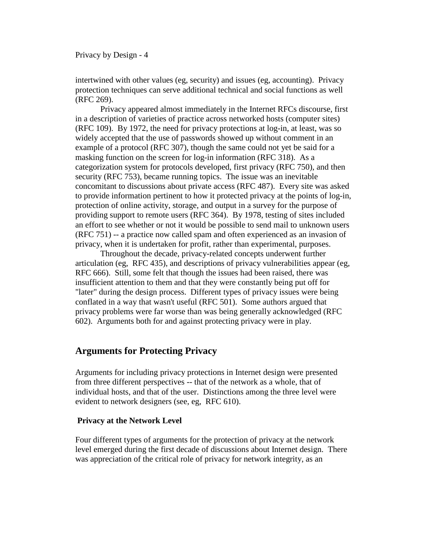intertwined with other values (eg, security) and issues (eg, accounting). Privacy protection techniques can serve additional technical and social functions as well (RFC 269).

Privacy appeared almost immediately in the Internet RFCs discourse, first in a description of varieties of practice across networked hosts (computer sites) (RFC 109). By 1972, the need for privacy protections at log-in, at least, was so widely accepted that the use of passwords showed up without comment in an example of a protocol (RFC 307), though the same could not yet be said for a masking function on the screen for log-in information (RFC 318). As a categorization system for protocols developed, first privacy (RFC 750), and then security (RFC 753), became running topics. The issue was an inevitable concomitant to discussions about private access (RFC 487). Every site was asked to provide information pertinent to how it protected privacy at the points of log-in, protection of online activity, storage, and output in a survey for the purpose of providing support to remote users (RFC 364). By 1978, testing of sites included an effort to see whether or not it would be possible to send mail to unknown users (RFC 751) -- a practice now called spam and often experienced as an invasion of privacy, when it is undertaken for profit, rather than experimental, purposes.

Throughout the decade, privacy-related concepts underwent further articulation (eg, RFC 435), and descriptions of privacy vulnerabilities appear (eg, RFC 666). Still, some felt that though the issues had been raised, there was insufficient attention to them and that they were constantly being put off for "later" during the design process. Different types of privacy issues were being conflated in a way that wasn't useful (RFC 501). Some authors argued that privacy problems were far worse than was being generally acknowledged (RFC 602). Arguments both for and against protecting privacy were in play.

## **Arguments for Protecting Privacy**

Arguments for including privacy protections in Internet design were presented from three different perspectives -- that of the network as a whole, that of individual hosts, and that of the user. Distinctions among the three level were evident to network designers (see, eg, RFC 610).

#### **Privacy at the Network Level**

Four different types of arguments for the protection of privacy at the network level emerged during the first decade of discussions about Internet design. There was appreciation of the critical role of privacy for network integrity, as an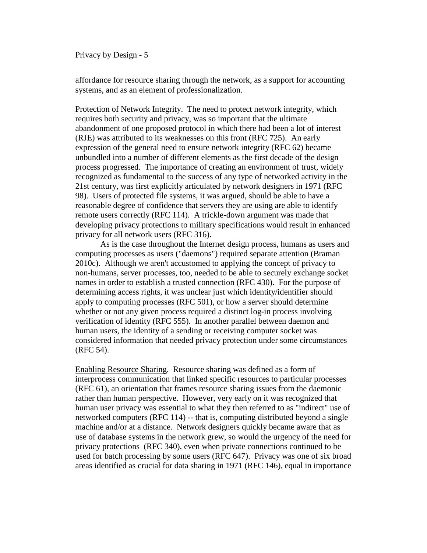affordance for resource sharing through the network, as a support for accounting systems, and as an element of professionalization.

Protection of Network Integrity. The need to protect network integrity, which requires both security and privacy, was so important that the ultimate abandonment of one proposed protocol in which there had been a lot of interest (RJE) was attributed to its weaknesses on this front (RFC 725). An early expression of the general need to ensure network integrity (RFC 62) became unbundled into a number of different elements as the first decade of the design process progressed. The importance of creating an environment of trust, widely recognized as fundamental to the success of any type of networked activity in the 21st century, was first explicitly articulated by network designers in 1971 (RFC 98). Users of protected file systems, it was argued, should be able to have a reasonable degree of confidence that servers they are using are able to identify remote users correctly (RFC 114). A trickle-down argument was made that developing privacy protections to military specifications would result in enhanced privacy for all network users (RFC 316).

As is the case throughout the Internet design process, humans as users and computing processes as users ("daemons") required separate attention (Braman 2010c). Although we aren't accustomed to applying the concept of privacy to non-humans, server processes, too, needed to be able to securely exchange socket names in order to establish a trusted connection (RFC 430). For the purpose of determining access rights, it was unclear just which identity/identifier should apply to computing processes (RFC 501), or how a server should determine whether or not any given process required a distinct log-in process involving verification of identity (RFC 555). In another parallel between daemon and human users, the identity of a sending or receiving computer socket was considered information that needed privacy protection under some circumstances (RFC 54).

Enabling Resource Sharing. Resource sharing was defined as a form of interprocess communication that linked specific resources to particular processes (RFC 61), an orientation that frames resource sharing issues from the daemonic rather than human perspective. However, very early on it was recognized that human user privacy was essential to what they then referred to as "indirect" use of networked computers (RFC 114) -- that is, computing distributed beyond a single machine and/or at a distance. Network designers quickly became aware that as use of database systems in the network grew, so would the urgency of the need for privacy protections (RFC 340), even when private connections continued to be used for batch processing by some users (RFC 647). Privacy was one of six broad areas identified as crucial for data sharing in 1971 (RFC 146), equal in importance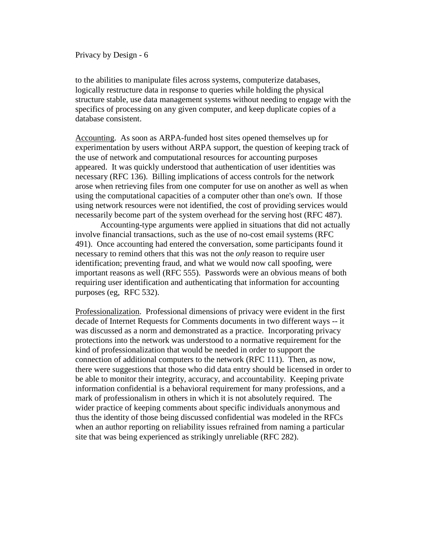to the abilities to manipulate files across systems, computerize databases, logically restructure data in response to queries while holding the physical structure stable, use data management systems without needing to engage with the specifics of processing on any given computer, and keep duplicate copies of a database consistent.

Accounting. As soon as ARPA-funded host sites opened themselves up for experimentation by users without ARPA support, the question of keeping track of the use of network and computational resources for accounting purposes appeared. It was quickly understood that authentication of user identities was necessary (RFC 136). Billing implications of access controls for the network arose when retrieving files from one computer for use on another as well as when using the computational capacities of a computer other than one's own. If those using network resources were not identified, the cost of providing services would necessarily become part of the system overhead for the serving host (RFC 487).

Accounting-type arguments were applied in situations that did not actually involve financial transactions, such as the use of no-cost email systems (RFC 491). Once accounting had entered the conversation, some participants found it necessary to remind others that this was not the *only* reason to require user identification; preventing fraud, and what we would now call spoofing, were important reasons as well (RFC 555). Passwords were an obvious means of both requiring user identification and authenticating that information for accounting purposes (eg, RFC 532).

Professionalization. Professional dimensions of privacy were evident in the first decade of Internet Requests for Comments documents in two different ways -- it was discussed as a norm and demonstrated as a practice. Incorporating privacy protections into the network was understood to a normative requirement for the kind of professionalization that would be needed in order to support the connection of additional computers to the network (RFC 111). Then, as now, there were suggestions that those who did data entry should be licensed in order to be able to monitor their integrity, accuracy, and accountability. Keeping private information confidential is a behavioral requirement for many professions, and a mark of professionalism in others in which it is not absolutely required. The wider practice of keeping comments about specific individuals anonymous and thus the identity of those being discussed confidential was modeled in the RFCs when an author reporting on reliability issues refrained from naming a particular site that was being experienced as strikingly unreliable (RFC 282).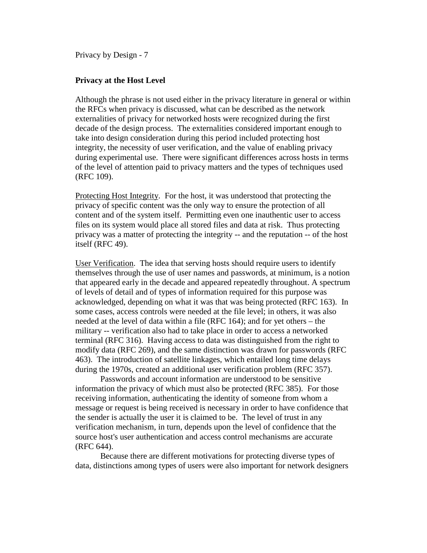## **Privacy at the Host Level**

Although the phrase is not used either in the privacy literature in general or within the RFCs when privacy is discussed, what can be described as the network externalities of privacy for networked hosts were recognized during the first decade of the design process. The externalities considered important enough to take into design consideration during this period included protecting host integrity, the necessity of user verification, and the value of enabling privacy during experimental use. There were significant differences across hosts in terms of the level of attention paid to privacy matters and the types of techniques used (RFC 109).

Protecting Host Integrity. For the host, it was understood that protecting the privacy of specific content was the only way to ensure the protection of all content and of the system itself. Permitting even one inauthentic user to access files on its system would place all stored files and data at risk. Thus protecting privacy was a matter of protecting the integrity -- and the reputation -- of the host itself (RFC 49).

User Verification. The idea that serving hosts should require users to identify themselves through the use of user names and passwords, at minimum, is a notion that appeared early in the decade and appeared repeatedly throughout. A spectrum of levels of detail and of types of information required for this purpose was acknowledged, depending on what it was that was being protected (RFC 163). In some cases, access controls were needed at the file level; in others, it was also needed at the level of data within a file (RFC 164); and for yet others – the military -- verification also had to take place in order to access a networked terminal (RFC 316). Having access to data was distinguished from the right to modify data (RFC 269), and the same distinction was drawn for passwords (RFC 463). The introduction of satellite linkages, which entailed long time delays during the 1970s, created an additional user verification problem (RFC 357).

Passwords and account information are understood to be sensitive information the privacy of which must also be protected (RFC 385). For those receiving information, authenticating the identity of someone from whom a message or request is being received is necessary in order to have confidence that the sender is actually the user it is claimed to be. The level of trust in any verification mechanism, in turn, depends upon the level of confidence that the source host's user authentication and access control mechanisms are accurate (RFC 644).

Because there are different motivations for protecting diverse types of data, distinctions among types of users were also important for network designers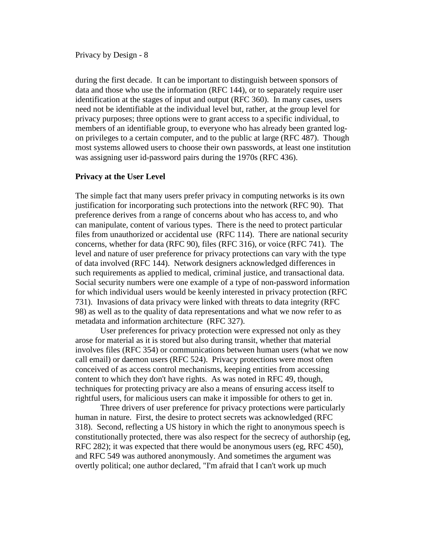during the first decade. It can be important to distinguish between sponsors of data and those who use the information (RFC 144), or to separately require user identification at the stages of input and output (RFC 360). In many cases, users need not be identifiable at the individual level but, rather, at the group level for privacy purposes; three options were to grant access to a specific individual, to members of an identifiable group, to everyone who has already been granted logon privileges to a certain computer, and to the public at large (RFC 487). Though most systems allowed users to choose their own passwords, at least one institution was assigning user id-password pairs during the 1970s (RFC 436).

### **Privacy at the User Level**

The simple fact that many users prefer privacy in computing networks is its own justification for incorporating such protections into the network (RFC 90). That preference derives from a range of concerns about who has access to, and who can manipulate, content of various types. There is the need to protect particular files from unauthorized or accidental use (RFC 114). There are national security concerns, whether for data (RFC 90), files (RFC 316), or voice (RFC 741). The level and nature of user preference for privacy protections can vary with the type of data involved (RFC 144). Network designers acknowledged differences in such requirements as applied to medical, criminal justice, and transactional data. Social security numbers were one example of a type of non-password information for which individual users would be keenly interested in privacy protection (RFC 731). Invasions of data privacy were linked with threats to data integrity (RFC 98) as well as to the quality of data representations and what we now refer to as metadata and information architecture (RFC 327).

User preferences for privacy protection were expressed not only as they arose for material as it is stored but also during transit, whether that material involves files (RFC 354) or communications between human users (what we now call email) or daemon users (RFC 524). Privacy protections were most often conceived of as access control mechanisms, keeping entities from accessing content to which they don't have rights. As was noted in RFC 49, though, techniques for protecting privacy are also a means of ensuring access itself to rightful users, for malicious users can make it impossible for others to get in.

Three drivers of user preference for privacy protections were particularly human in nature. First, the desire to protect secrets was acknowledged (RFC 318). Second, reflecting a US history in which the right to anonymous speech is constitutionally protected, there was also respect for the secrecy of authorship (eg, RFC 282); it was expected that there would be anonymous users (eg, RFC 450), and RFC 549 was authored anonymously. And sometimes the argument was overtly political; one author declared, "I'm afraid that I can't work up much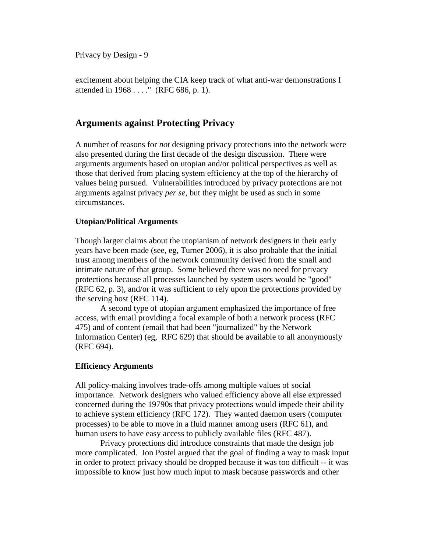excitement about helping the CIA keep track of what anti-war demonstrations I attended in 1968 . . . ." (RFC 686, p. 1).

# **Arguments against Protecting Privacy**

A number of reasons for *not* designing privacy protections into the network were also presented during the first decade of the design discussion. There were arguments arguments based on utopian and/or political perspectives as well as those that derived from placing system efficiency at the top of the hierarchy of values being pursued. Vulnerabilities introduced by privacy protections are not arguments against privacy *per se*, but they might be used as such in some circumstances.

## **Utopian/Political Arguments**

Though larger claims about the utopianism of network designers in their early years have been made (see, eg, Turner 2006), it is also probable that the initial trust among members of the network community derived from the small and intimate nature of that group. Some believed there was no need for privacy protections because all processes launched by system users would be "good" (RFC 62, p. 3), and/or it was sufficient to rely upon the protections provided by the serving host (RFC 114).

A second type of utopian argument emphasized the importance of free access, with email providing a focal example of both a network process (RFC 475) and of content (email that had been "journalized" by the Network Information Center) (eg, RFC 629) that should be available to all anonymously (RFC 694).

## **Efficiency Arguments**

All policy-making involves trade-offs among multiple values of social importance. Network designers who valued efficiency above all else expressed concerned during the 19790s that privacy protections would impede their ability to achieve system efficiency (RFC 172). They wanted daemon users (computer processes) to be able to move in a fluid manner among users (RFC 61), and human users to have easy access to publicly available files (RFC 487).

Privacy protections did introduce constraints that made the design job more complicated. Jon Postel argued that the goal of finding a way to mask input in order to protect privacy should be dropped because it was too difficult -- it was impossible to know just how much input to mask because passwords and other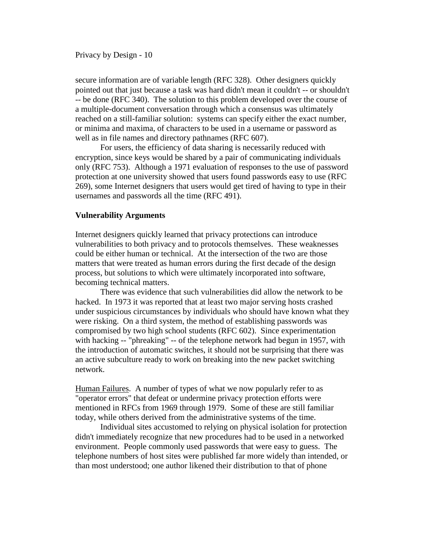secure information are of variable length (RFC 328). Other designers quickly pointed out that just because a task was hard didn't mean it couldn't -- or shouldn't -- be done (RFC 340). The solution to this problem developed over the course of a multiple-document conversation through which a consensus was ultimately reached on a still-familiar solution: systems can specify either the exact number, or minima and maxima, of characters to be used in a username or password as well as in file names and directory pathnames (RFC 607).

For users, the efficiency of data sharing is necessarily reduced with encryption, since keys would be shared by a pair of communicating individuals only (RFC 753). Although a 1971 evaluation of responses to the use of password protection at one university showed that users found passwords easy to use (RFC 269), some Internet designers that users would get tired of having to type in their usernames and passwords all the time (RFC 491).

## **Vulnerability Arguments**

Internet designers quickly learned that privacy protections can introduce vulnerabilities to both privacy and to protocols themselves. These weaknesses could be either human or technical. At the intersection of the two are those matters that were treated as human errors during the first decade of the design process, but solutions to which were ultimately incorporated into software, becoming technical matters.

There was evidence that such vulnerabilities did allow the network to be hacked. In 1973 it was reported that at least two major serving hosts crashed under suspicious circumstances by individuals who should have known what they were risking. On a third system, the method of establishing passwords was compromised by two high school students (RFC 602). Since experimentation with hacking -- "phreaking" -- of the telephone network had begun in 1957, with the introduction of automatic switches, it should not be surprising that there was an active subculture ready to work on breaking into the new packet switching network.

Human Failures. A number of types of what we now popularly refer to as "operator errors" that defeat or undermine privacy protection efforts were mentioned in RFCs from 1969 through 1979. Some of these are still familiar today, while others derived from the administrative systems of the time.

Individual sites accustomed to relying on physical isolation for protection didn't immediately recognize that new procedures had to be used in a networked environment. People commonly used passwords that were easy to guess. The telephone numbers of host sites were published far more widely than intended, or than most understood; one author likened their distribution to that of phone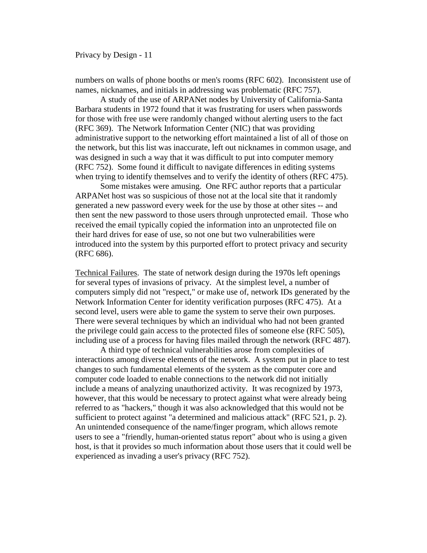numbers on walls of phone booths or men's rooms (RFC 602). Inconsistent use of names, nicknames, and initials in addressing was problematic (RFC 757).

A study of the use of ARPANet nodes by University of California-Santa Barbara students in 1972 found that it was frustrating for users when passwords for those with free use were randomly changed without alerting users to the fact (RFC 369). The Network Information Center (NIC) that was providing administrative support to the networking effort maintained a list of all of those on the network, but this list was inaccurate, left out nicknames in common usage, and was designed in such a way that it was difficult to put into computer memory (RFC 752). Some found it difficult to navigate differences in editing systems when trying to identify themselves and to verify the identity of others (RFC 475).

Some mistakes were amusing. One RFC author reports that a particular ARPANet host was so suspicious of those not at the local site that it randomly generated a new password every week for the use by those at other sites -- and then sent the new password to those users through unprotected email. Those who received the email typically copied the information into an unprotected file on their hard drives for ease of use, so not one but two vulnerabilities were introduced into the system by this purported effort to protect privacy and security (RFC 686).

Technical Failures . The state of network design during the 1970s left openings for several types of invasions of privacy. At the simplest level, a number of computers simply did not "respect," or make use of, network IDs generated by the Network Information Center for identity verification purposes (RFC 475). At a second level, users were able to game the system to serve their own purposes. There were several techniques by which an individual who had not been granted the privilege could gain access to the protected files of someone else (RFC 505), including use of a process for having files mailed through the network (RFC 487).

A third type of technical vulnerabilities arose from complexities of interactions among diverse elements of the network. A system put in place to test changes to such fundamental elements of the system as the computer core and computer code loaded to enable connections to the network did not initially include a means of analyzing unauthorized activity. It was recognized by 1973, however, that this would be necessary to protect against what were already being referred to as "hackers," though it was also acknowledged that this would not be sufficient to protect against "a determined and malicious attack" (RFC 521, p. 2). An unintended consequence of the name/finger program, which allows remote users to see a "friendly, human-oriented status report" about who is using a given host, is that it provides so much information about those users that it could well be experienced as invading a user's privacy (RFC 752).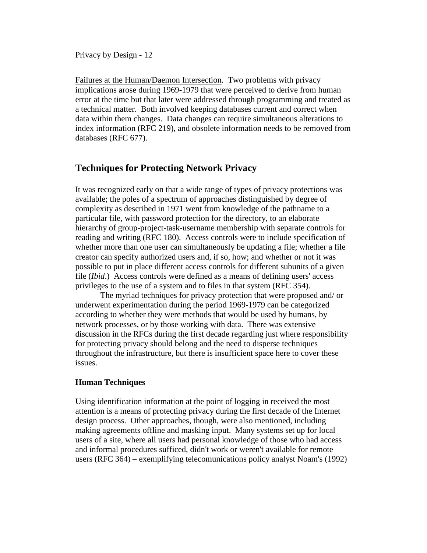Failures at the Human/Daemon Intersection. Two problems with privacy implications arose during 1969-1979 that were perceived to derive from human error at the time but that later were addressed through programming and treated as a technical matter. Both involved keeping databases current and correct when data within them changes. Data changes can require simultaneous alterations to index information (RFC 219), and obsolete information needs to be removed from databases (RFC 677).

# **Techniques for Protecting Network Privacy**

It was recognized early on that a wide range of types of privacy protections was available; the poles of a spectrum of approaches distinguished by degree of complexity as described in 1971 went from knowledge of the pathname to a particular file, with password protection for the directory, to an elaborate hierarchy of group-project-task-username membership with separate controls for reading and writing (RFC 180). Access controls were to include specification of whether more than one user can simultaneously be updating a file; whether a file creator can specify authorized users and, if so, how; and whether or not it was possible to put in place different access controls for different subunits of a given file (*Ibid*.) Access controls were defined as a means of defining users' access privileges to the use of a system and to files in that system (RFC 354).

The myriad techniques for privacy protection that were proposed and/ or underwent experimentation during the period 1969-1979 can be categorized according to whether they were methods that would be used by humans, by network processes, or by those working with data. There was extensive discussion in the RFCs during the first decade regarding just where responsibility for protecting privacy should belong and the need to disperse techniques throughout the infrastructure, but there is insufficient space here to cover these issues.

## **Human Techniques**

Using identification information at the point of logging in received the most attention is a means of protecting privacy during the first decade of the Internet design process. Other approaches, though, were also mentioned, including making agreements offline and masking input. Many systems set up for local users of a site, where all users had personal knowledge of those who had access and informal procedures sufficed, didn't work or weren't available for remote users (RFC 364) – exemplifying telecomunications policy analyst Noam's (1992)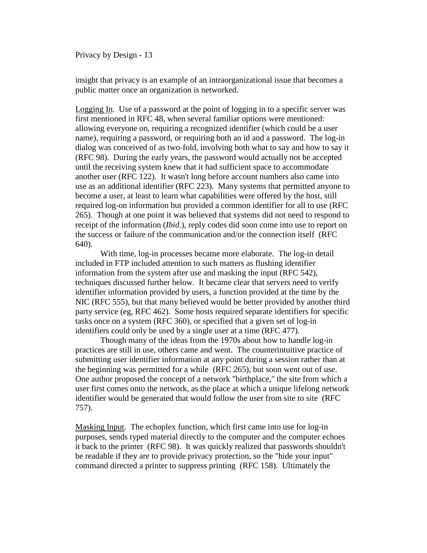insight that privacy is an example of an intraorganizational issue that becomes a public matter once an organization is networked.

Logging In. Use of a password at the point of logging in to a specific server was first mentioned in RFC 48, when several familiar options were mentioned: allowing everyone on, requiring a recognized identifier (which could be a user name), requiring a password, or requiring both an id and a password. The log-in dialog was conceived of as two-fold, involving both what to say and how to say it (RFC 98). During the early years, the password would actually not be accepted until the receiving system knew that it had sufficient space to accommodate another user (RFC 122). It wasn't long before account numbers also came into use as an additional identifier (RFC 223). Many systems that permitted anyone to become a user, at least to learn what capabilities were offered by the host, still required log-on information but provided a common identifier for all to use (RFC 265). Though at one point it was believed that systems did not need to respond to receipt of the information (*Ibid*.), reply codes did soon come into use to report on the success or failure of the communication and/or the connection itself (RFC 640).

With time, log-in processes became more elaborate. The log-in detail included in FTP included attention to such matters as flushing identifier information from the system after use and masking the input (RFC 542), techniques discussed further below. It became clear that servers need to verify identifier information provided by users, a function provided at the time by the NIC (RFC 555), but that many believed would be better provided by another third party service (eg, RFC 462). Some hosts required separate identifiers for specific tasks once on a system (RFC 360), or specified that a given set of log-in identifiers could only be used by a single user at a time (RFC 477).

Though many of the ideas from the 1970s about how to handle log-in practices are still in use, others came and went. The counterintuitive practice of submitting user identifier information at any point during a session rather than at the beginning was permitted for a while (RFC 265), but soon went out of use. One author proposed the concept of a network "birthplace," the site from which a user first comes onto the network, as the place at which a unique lifelong network identifier would be generated that would follow the user from site to site (RFC 757).

Masking Input. The echoplex function, which first came into use for log-in purposes, sends typed material directly to the computer and the computer echoes it back to the printer (RFC 98). It was quickly realized that passwords shouldn't be readable if they are to provide privacy protection, so the "hide your input" command directed a printer to suppress printing (RFC 158). Ultimately the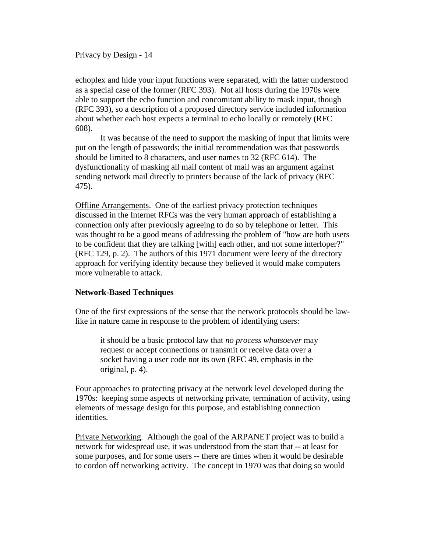echoplex and hide your input functions were separated, with the latter understood as a special case of the former (RFC 393). Not all hosts during the 1970s were able to support the echo function and concomitant ability to mask input, though (RFC 393), so a description of a proposed directory service included information about whether each host expects a terminal to echo locally or remotely (RFC 608).

It was because of the need to support the masking of input that limits were put on the length of passwords; the initial recommendation was that passwords should be limited to 8 characters, and user names to 32 (RFC 614). The dysfunctionality of masking all mail content of mail was an argument against sending network mail directly to printers because of the lack of privacy (RFC 475).

Offline Arrangements. One of the earliest privacy protection techniques discussed in the Internet RFCs was the very human approach of establishing a connection only after previously agreeing to do so by telephone or letter. This was thought to be a good means of addressing the problem of "how are both users to be confident that they are talking [with] each other, and not some interloper?" (RFC 129, p. 2). The authors of this 1971 document were leery of the directory approach for verifying identity because they believed it would make computers more vulnerable to attack.

## **Network-Based Techniques**

One of the first expressions of the sense that the network protocols should be lawlike in nature came in response to the problem of identifying users:

it should be a basic protocol law that *no process whatsoever* may request or accept connections or transmit or receive data over a socket having a user code not its own (RFC 49, emphasis in the original, p. 4).

Four approaches to protecting privacy at the network level developed during the 1970s: keeping some aspects of networking private, termination of activity, using elements of message design for this purpose, and establishing connection identities.

Private Networking. Although the goal of the ARPANET project was to build a network for widespread use, it was understood from the start that -- at least for some purposes, and for some users -- there are times when it would be desirable to cordon off networking activity. The concept in 1970 was that doing so would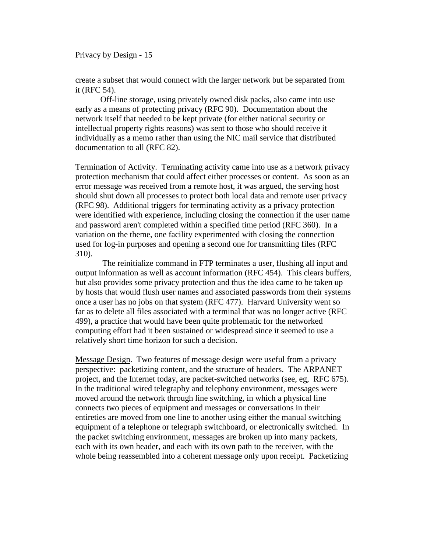create a subset that would connect with the larger network but be separated from it (RFC 54).

Off-line storage, using privately owned disk packs, also came into use early as a means of protecting privacy (RFC 90). Documentation about the network itself that needed to be kept private (for either national security or intellectual property rights reasons) was sent to those who should receive it individually as a memo rather than using the NIC mail service that distributed documentation to all (RFC 82).

Termination of Activity. Terminating activity came into use as a network privacy protection mechanism that could affect either processes or content. As soon as an error message was received from a remote host, it was argued, the serving host should shut down all processes to protect both local data and remote user privacy (RFC 98). Additional triggers for terminating activity as a privacy protection were identified with experience, including closing the connection if the user name and password aren't completed within a specified time period (RFC 360). In a variation on the theme, one facility experimented with closing the connection used for log-in purposes and opening a second one for transmitting files (RFC 310).

The reinitialize command in FTP terminates a user, flushing all input and output information as well as account information (RFC 454). This clears buffers, but also provides some privacy protection and thus the idea came to be taken up by hosts that would flush user names and associated passwords from their systems once a user has no jobs on that system (RFC 477). Harvard University went so far as to delete all files associated with a terminal that was no longer active (RFC 499), a practice that would have been quite problematic for the networked computing effort had it been sustained or widespread since it seemed to use a relatively short time horizon for such a decision.

Message Design. Two features of message design were useful from a privacy perspective: packetizing content, and the structure of headers. The ARPANET project, and the Internet today, are packet-switched networks (see, eg, RFC 675). In the traditional wired telegraphy and telephony environment, messages were moved around the network through line switching, in which a physical line connects two pieces of equipment and messages or conversations in their entireties are moved from one line to another using either the manual switching equipment of a telephone or telegraph switchboard, or electronically switched. In the packet switching environment, messages are broken up into many packets, each with its own header, and each with its own path to the receiver, with the whole being reassembled into a coherent message only upon receipt. Packetizing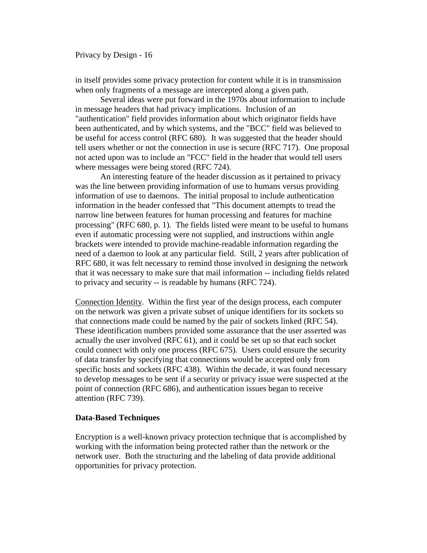in itself provides some privacy protection for content while it is in transmission when only fragments of a message are intercepted along a given path.

Several ideas were put forward in the 1970s about information to include in message headers that had privacy implications. Inclusion of an "authentication" field provides information about which originator fields have been authenticated, and by which systems, and the "BCC" field was believed to be useful for access control (RFC 680). It was suggested that the header should tell users whether or not the connection in use is secure (RFC 717). One proposal not acted upon was to include an "FCC" field in the header that would tell users where messages were being stored (RFC 724).

An interesting feature of the header discussion as it pertained to privacy was the line between providing information of use to humans versus providing information of use to daemons. The initial proposal to include authentication information in the header confessed that "This document attempts to tread the narrow line between features for human processing and features for machine processing" (RFC 680, p. 1). The fields listed were meant to be useful to humans even if automatic processing were not supplied, and instructions within angle brackets were intended to provide machine-readable information regarding the need of a daemon to look at any particular field. Still, 2 years after publication of RFC 680, it was felt necessary to remind those involved in designing the network that it was necessary to make sure that mail information -- including fields related to privacy and security -- is readable by humans (RFC 724).

Connection Identity. Within the first year of the design process, each computer on the network was given a private subset of unique identifiers for its sockets so that connections made could be named by the pair of sockets linked (RFC 54). These identification numbers provided some assurance that the user asserted was actually the user involved (RFC 61), and it could be set up so that each socket could connect with only one process (RFC 675). Users could ensure the security of data transfer by specifying that connections would be accepted only from specific hosts and sockets (RFC 438). Within the decade, it was found necessary to develop messages to be sent if a security or privacy issue were suspected at the point of connection (RFC 686), and authentication issues began to receive attention (RFC 739).

## **Data-Based Techniques**

Encryption is a well-known privacy protection technique that is accomplished by working with the information being protected rather than the network or the network user. Both the structuring and the labeling of data provide additional opportunities for privacy protection.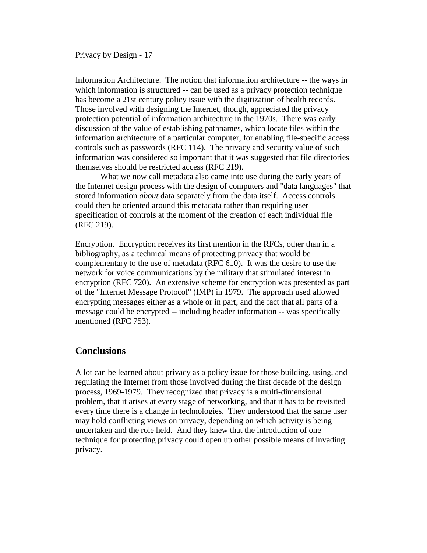Information Architecture . The notion that information architecture -- the ways in which information is structured -- can be used as a privacy protection technique has become a 21st century policy issue with the digitization of health records. Those involved with designing the Internet, though, appreciated the privacy protection potential of information architecture in the 1970s. There was early discussion of the value of establishing pathnames, which locate files within the information architecture of a particular computer, for enabling file-specific access controls such as passwords (RFC 114). The privacy and security value of such information was considered so important that it was suggested that file directories themselves should be restricted access (RFC 219).

What we now call metadata also came into use during the early years of the Internet design process with the design of computers and "data languages" that stored information *about* data separately from the data itself. Access controls could then be oriented around this metadata rather than requiring user specification of controls at the moment of the creation of each individual file (RFC 219).

Encryption. Encryption receives its first mention in the RFCs, other than in a bibliography, as a technical means of protecting privacy that would be complementary to the use of metadata (RFC 610). It was the desire to use the network for voice communications by the military that stimulated interest in encryption (RFC 720). An extensive scheme for encryption was presented as part of the "Internet Message Protocol" (IMP) in 1979. The approach used allowed encrypting messages either as a whole or in part, and the fact that all parts of a message could be encrypted -- including header information -- was specifically mentioned (RFC 753).

# **Conclusions**

A lot can be learned about privacy as a policy issue for those building, using, and regulating the Internet from those involved during the first decade of the design process, 1969-1979. They recognized that privacy is a multi-dimensional problem, that it arises at every stage of networking, and that it has to be revisited every time there is a change in technologies. They understood that the same user may hold conflicting views on privacy, depending on which activity is being undertaken and the role held. And they knew that the introduction of one technique for protecting privacy could open up other possible means of invading privacy.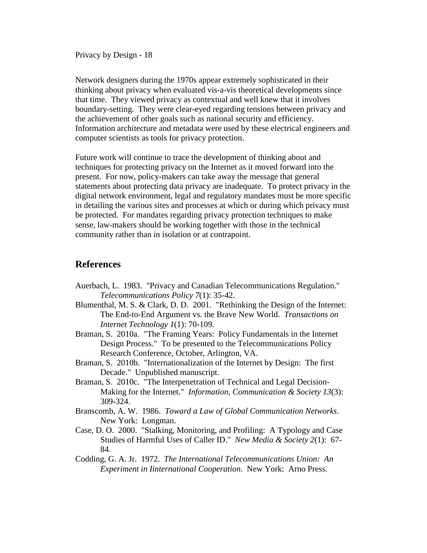Network designers during the 1970s appear extremely sophisticated in their thinking about privacy when evaluated vis-a-vis theoretical developments since that time. They viewed privacy as contextual and well knew that it involves boundary-setting. They were clear-eyed regarding tensions between privacy and the achievement of other goals such as national security and efficiency. Information architecture and metadata were used by these electrical engineers and computer scientists as tools for privacy protection.

Future work will continue to trace the development of thinking about and techniques for protecting privacy on the Internet as it moved forward into the present. For now, policy-makers can take away the message that general statements about protecting data privacy are inadequate. To protect privacy in the digital network environment, legal and regulatory mandates must be more specific in detailing the various sites and processes at which or during which privacy must be protected. For mandates regarding privacy protection techniques to make sense, law-makers should be working together with those in the technical community rather than in isolation or at contrapoint.

## **References**

- Auerbach, L. 1983. "Privacy and Canadian Telecommunications Regulation." *Telecommunications Policy 7*(1): 35-42.
- Blumenthal, M. S. & Clark, D. D. 2001. "Rethinking the Design of the Internet: The End-to-End Argument vs. the Brave New World. *Transactions on Internet Technology 1*(1): 70-109.
- Braman, S. 2010a. "The Framing Years: Policy Fundamentals in the Internet Design Process." To be presented to the Telecommunications Policy Research Conference, October, Arlington, VA.
- Braman, S. 2010b. "Internationalization of the Internet by Design: The first Decade." Unpublished manuscript.
- Braman, S. 2010c. "The Interpenetration of Technical and Legal Decision-Making for the Internet." *Information, Communication & Society 13*(3): 309-324.
- Branscomb, A. W. 1986. *Toward a Law of Global Communication Networks*. New York: Longman.
- Case, D. O. 2000. "Stalking, Monitoring, and Profiling: A Typology and Case Studies of Harmful Uses of Caller ID." *New Media & Society 2*(1): 67- 84.
- Codding, G. A. Jr. 1972. *The International Telecommunications Union: An Experiment in Iinternational Cooperation*. New York: Arno Press.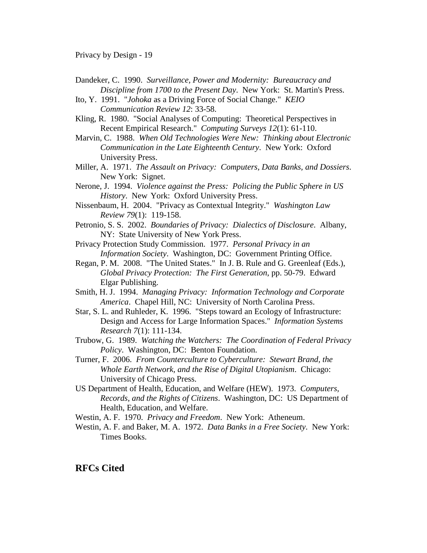- Dandeker, C. 1990. *Surveillance, Power and Modernity: Bureaucracy and Discipline from 1700 to the Present Day*. New York: St. Martin's Press.
- Ito, Y. 1991. "*Johoka* as a Driving Force of Social Change." *KEIO Communication Review 12*: 33-58.
- Kling, R. 1980. "Social Analyses of Computing: Theoretical Perspectives in Recent Empirical Research." *Computing Surveys 12*(1): 61-110.
- Marvin, C. 1988. *When Old Technologies Were New: Thinking about Electronic Communication in the Late Eighteenth Century*. New York: Oxford University Press.
- Miller, A. 1971. *The Assault on Privacy: Computers, Data Banks, and Dossiers*. New York: Signet.
- Nerone, J. 1994. *Violence against the Press: Policing the Public Sphere in US History*. New York: Oxford University Press.
- Nissenbaum, H. 2004. "Privacy as Contextual Integrity." *Washington Law Review 79*(1): 119-158.
- Petronio, S. S. 2002. *Boundaries of Privacy: Dialectics of Disclosure*. Albany, NY: State University of New York Press.
- Privacy Protection Study Commission. 1977. *Personal Privacy in an Information Society*. Washington, DC: Government Printing Office.
- Regan, P. M. 2008. "The United States." In J. B. Rule and G. Greenleaf (Eds.), *Global Privacy Protection: The First Generation*, pp. 50-79. Edward Elgar Publishing.
- Smith, H. J. 1994. *Managing Privacy: Information Technology and Corporate America*. Chapel Hill, NC: University of North Carolina Press.
- Star, S. L. and Ruhleder, K. 1996. "Steps toward an Ecology of Infrastructure: Design and Access for Large Information Spaces." *Information Systems Research 7*(1): 111-134.
- Trubow, G. 1989. *Watching the Watchers: The Coordination of Federal Privacy Policy*. Washington, DC: Benton Foundation.
- Turner, F. 2006. *From Counterculture to Cyberculture: Stewart Brand, the Whole Earth Network, and the Rise of Digital Utopianism*. Chicago: University of Chicago Press.
- US Department of Health, Education, and Welfare (HEW). 1973. *Computers, Records, and the Rights of Citizens*. Washington, DC: US Department of Health, Education, and Welfare.
- Westin, A. F. 1970. *Privacy and Freedom*. New York: Atheneum.
- Westin, A. F. and Baker, M. A. 1972. *Data Banks in a Free Society*. New York: Times Books.

**RFCs Cited**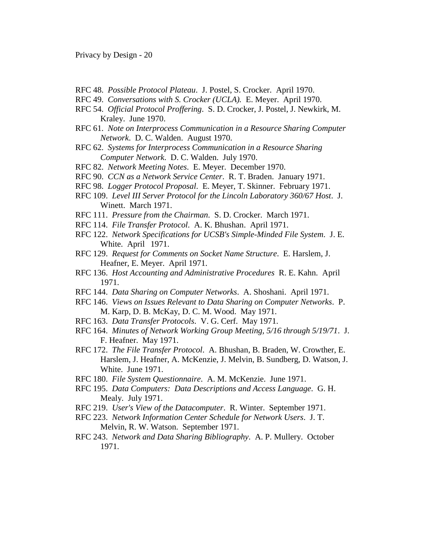- RFC 48. *Possible Protocol Plateau*. J. Postel, S. Crocker. April 1970.
- RFC 49. *Conversations with S. Crocker (UCLA).* E. Meyer. April 1970.
- RFC 54. *Official Protocol Proffering*. S. D. Crocker, J. Postel, J. Newkirk, M. Kraley. June 1970.
- RFC 61. *Note on Interprocess Communication in a Resource Sharing Computer Network*. D. C. Walden. August 1970.
- RFC 62. *Systems for Interprocess Communication in a Resource Sharing Computer Network*. D. C. Walden. July 1970.
- RFC 82. *Network Meeting Notes*. E. Meyer. December 1970.
- RFC 90. *CCN as a Network Service Center*. R. T. Braden. January 1971.
- RFC 98. *Logger Protocol Proposal*. E. Meyer, T. Skinner. February 1971.
- RFC 109. *Level III Server Protocol for the Lincoln Laboratory 360/67 Host*. J. Winett. March 1971.
- RFC 111. *Pressure from the Chairman*. S. D. Crocker. March 1971.
- RFC 114. *File Transfer Protocol*. A. K. Bhushan. April 1971.
- RFC 122. *Network Specifications for UCSB's Simple-Minded File System*. J. E. White. April 1971.
- RFC 129. *Request for Comments on Socket Name Structure*. E. Harslem, J. Heafner, E. Meyer. April 1971.
- RFC 136. *Host Accounting and Administrative Procedures* R. E. Kahn. April 1971.
- RFC 144. *Data Sharing on Computer Networks*. A. Shoshani. April 1971.
- RFC 146. *Views on Issues Relevant to Data Sharing on Computer Networks*. P. M. Karp, D. B. McKay, D. C. M. Wood. May 1971.
- RFC 163. *Data Transfer Protocols*. V. G. Cerf. May 1971.
- RFC 164. *Minutes of Network Working Group Meeting, 5/16 through 5/19/71*. J. F. Heafner. May 1971.
- RFC 172. *The File Transfer Protocol*. A. Bhushan, B. Braden, W. Crowther, E. Harslem, J. Heafner, A. McKenzie, J. Melvin, B. Sundberg, D. Watson, J. White. June 1971.
- RFC 180. *File System Questionnaire*. A. M. McKenzie. June 1971.
- RFC 195. *Data Computers: Data Descriptions and Access Language*. G. H. Mealy. July 1971.
- RFC 219. *User's View of the Datacomputer*. R. Winter. September 1971.
- RFC 223. *Network Information Center Schedule for Network Users*. J. T. Melvin, R. W. Watson. September 1971.
- RFC 243. *Network and Data Sharing Bibliography*. A. P. Mullery. October 1971.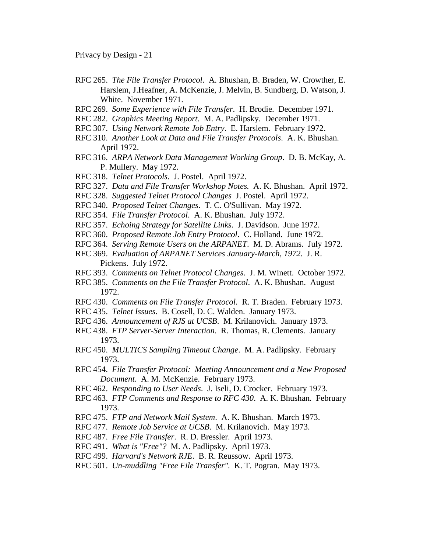- RFC 265. *The File Transfer Protocol*. A. Bhushan, B. Braden, W. Crowther, E. Harslem, J.Heafner, A. McKenzie, J. Melvin, B. Sundberg, D. Watson, J. White. November 1971.
- RFC 269. *Some Experience with File Transfer*. H. Brodie. December 1971.
- RFC 282. *Graphics Meeting Report*. M. A. Padlipsky. December 1971.
- RFC 307. *Using Network Remote Job Entry*. E. Harslem. February 1972.
- RFC 310. *Another Look at Data and File Transfer Protocols*. A. K. Bhushan. April 1972.
- RFC 316. *ARPA Network Data Management Working Group*. D. B. McKay, A. P. Mullery. May 1972.
- RFC 318. *Telnet Protocols*. J. Postel. April 1972.
- RFC 327. *Data and File Transfer Workshop Notes.* A. K. Bhushan. April 1972.
- RFC 328. *Suggested Telnet Protocol Changes* J. Postel. April 1972.
- RFC 340. *Proposed Telnet Changes*. T. C. O'Sullivan. May 1972.
- RFC 354. *File Transfer Protocol*. A. K. Bhushan. July 1972.
- RFC 357. *Echoing Strategy for Satellite Links*. J. Davidson. June 1972.
- RFC 360. *Proposed Remote Job Entry Protocol*. C. Holland. June 1972.
- RFC 364. *Serving Remote Users on the ARPANET*. M. D. Abrams. July 1972.
- RFC 369. *Evaluation of ARPANET Services January-March, 1972*. J. R. Pickens. July 1972.
- RFC 393. *Comments on Telnet Protocol Changes*. J. M. Winett. October 1972.
- RFC 385. *Comments on the File Transfer Protocol*. A. K. Bhushan. August 1972.
- RFC 430. *Comments on File Transfer Protocol*. R. T. Braden. February 1973.
- RFC 435. *Telnet Issues*. B. Cosell, D. C. Walden. January 1973.
- RFC 436. *Announcement of RJS at UCSB*. M. Krilanovich. January 1973.
- RFC 438. *FTP Server-Server Interaction*. R. Thomas, R. Clements. January 1973.
- RFC 450. *MULTICS Sampling Timeout Change*. M. A. Padlipsky. February 1973.
- RFC 454. *File Transfer Protocol: Meeting Announcement and a New Proposed Document*. A. M. McKenzie. February 1973.
- RFC 462. *Responding to User Needs*. J. Iseli, D. Crocker. February 1973.
- RFC 463. *FTP Comments and Response to RFC 430*. A. K. Bhushan. February 1973.
- RFC 475. *FTP and Network Mail System*. A. K. Bhushan. March 1973.
- RFC 477. *Remote Job Service at UCSB*. M. Krilanovich. May 1973.
- RFC 487. *Free File Transfer*. R. D. Bressler. April 1973.
- RFC 491. *What is "Free"?* M. A. Padlipsky. April 1973.
- RFC 499. *Harvard's Network RJE*. B. R. Reussow. April 1973.
- RFC 501. *Un-muddling "Free File Transfer".* K. T. Pogran. May 1973.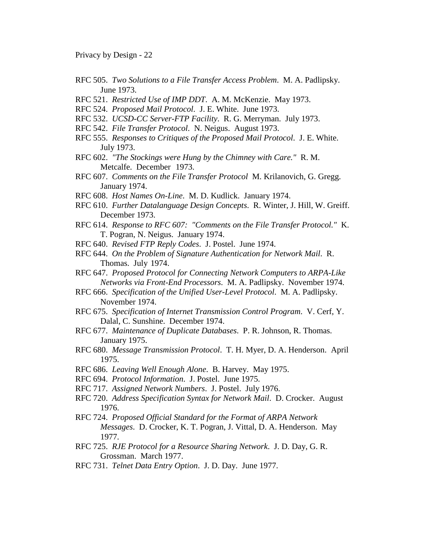- RFC 505. *Two Solutions to a File Transfer Access Problem*. M. A. Padlipsky. June 1973.
- RFC 521. *Restricted Use of IMP DDT*. A. M. McKenzie. May 1973.
- RFC 524. *Proposed Mail Protocol*. J. E. White. June 1973.
- RFC 532. *UCSD-CC Server-FTP Facility*. R. G. Merryman. July 1973.
- RFC 542. *File Transfer Protocol*. N. Neigus. August 1973.
- RFC 555. *Responses to Critiques of the Proposed Mail Protocol*. J. E. White. July 1973.
- RFC 602. *"The Stockings were Hung by the Chimney with Care."* R. M. Metcalfe. December 1973.
- RFC 607. *Comments on the File Transfer Protocol* M. Krilanovich, G. Gregg. January 1974.
- RFC 608. *Host Names On-Line*. M. D. Kudlick. January 1974.
- RFC 610. *Further Datalanguage Design Concepts*. R. Winter, J. Hill, W. Greiff. December 1973.
- RFC 614. *Response to RFC 607: "Comments on the File Transfer Protocol."* K. T. Pogran, N. Neigus. January 1974.
- RFC 640. *Revised FTP Reply Codes*. J. Postel. June 1974.
- RFC 644. *On the Problem of Signature Authentication for Network Mail*. R. Thomas. July 1974.
- RFC 647. *Proposed Protocol for Connecting Network Computers to ARPA-Like Networks via Front-End Processors*. M. A. Padlipsky. November 1974.
- RFC 666. *Specification of the Unified User-Level Protocol*. M. A. Padlipsky. November 1974.
- RFC 675. *Specification of Internet Transmission Control Program*. V. Cerf, Y. Dalal, C. Sunshine. December 1974.
- RFC 677. *Maintenance of Duplicate Databases*. P. R. Johnson, R. Thomas. January 1975.
- RFC 680. *Message Transmission Protocol*. T. H. Myer, D. A. Henderson. April 1975.
- RFC 686. *Leaving Well Enough Alone*. B. Harvey. May 1975.
- RFC 694. *Protocol Information*. J. Postel. June 1975.
- RFC 717. *Assigned Network Numbers*. J. Postel. July 1976.
- RFC 720. *Address Specification Syntax for Network Mail*. D. Crocker. August 1976.
- RFC 724. *Proposed Official Standard for the Format of ARPA Network Messages*. D. Crocker, K. T. Pogran, J. Vittal, D. A. Henderson. May 1977.
- RFC 725. *RJE Protocol for a Resource Sharing Network*. J. D. Day, G. R. Grossman. March 1977.
- RFC 731. *Telnet Data Entry Option*. J. D. Day. June 1977.